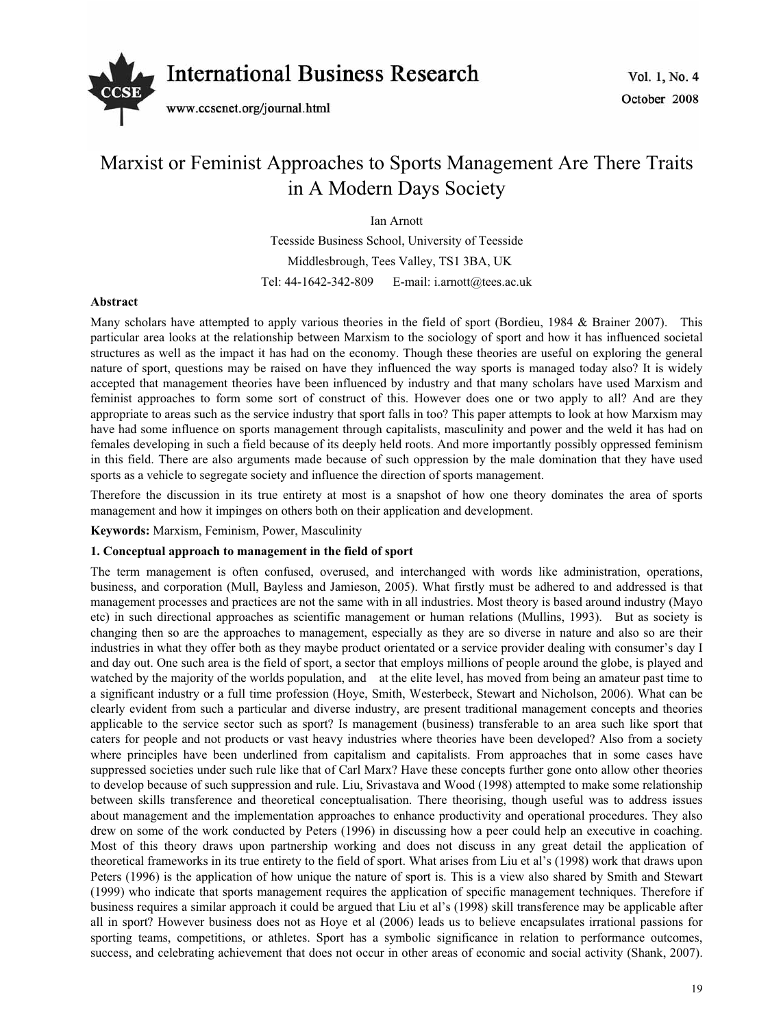

# Marxist or Feminist Approaches to Sports Management Are There Traits in A Modern Days Society

Ian Arnott

Teesside Business School, University of Teesside Middlesbrough, Tees Valley, TS1 3BA, UK Tel: 44-1642-342-809 E-mail: i.arnott@tees.ac.uk

## **Abstract**

Many scholars have attempted to apply various theories in the field of sport (Bordieu, 1984 & Brainer 2007). This particular area looks at the relationship between Marxism to the sociology of sport and how it has influenced societal structures as well as the impact it has had on the economy. Though these theories are useful on exploring the general nature of sport, questions may be raised on have they influenced the way sports is managed today also? It is widely accepted that management theories have been influenced by industry and that many scholars have used Marxism and feminist approaches to form some sort of construct of this. However does one or two apply to all? And are they appropriate to areas such as the service industry that sport falls in too? This paper attempts to look at how Marxism may have had some influence on sports management through capitalists, masculinity and power and the weld it has had on females developing in such a field because of its deeply held roots. And more importantly possibly oppressed feminism in this field. There are also arguments made because of such oppression by the male domination that they have used sports as a vehicle to segregate society and influence the direction of sports management.

Therefore the discussion in its true entirety at most is a snapshot of how one theory dominates the area of sports management and how it impinges on others both on their application and development.

**Keywords:** Marxism, Feminism, Power, Masculinity

## **1. Conceptual approach to management in the field of sport**

The term management is often confused, overused, and interchanged with words like administration, operations, business, and corporation (Mull, Bayless and Jamieson, 2005). What firstly must be adhered to and addressed is that management processes and practices are not the same with in all industries. Most theory is based around industry (Mayo etc) in such directional approaches as scientific management or human relations (Mullins, 1993). But as society is changing then so are the approaches to management, especially as they are so diverse in nature and also so are their industries in what they offer both as they maybe product orientated or a service provider dealing with consumer's day I and day out. One such area is the field of sport, a sector that employs millions of people around the globe, is played and watched by the majority of the worlds population, and at the elite level, has moved from being an amateur past time to a significant industry or a full time profession (Hoye, Smith, Westerbeck, Stewart and Nicholson, 2006). What can be clearly evident from such a particular and diverse industry, are present traditional management concepts and theories applicable to the service sector such as sport? Is management (business) transferable to an area such like sport that caters for people and not products or vast heavy industries where theories have been developed? Also from a society where principles have been underlined from capitalism and capitalists. From approaches that in some cases have suppressed societies under such rule like that of Carl Marx? Have these concepts further gone onto allow other theories to develop because of such suppression and rule. Liu, Srivastava and Wood (1998) attempted to make some relationship between skills transference and theoretical conceptualisation. There theorising, though useful was to address issues about management and the implementation approaches to enhance productivity and operational procedures. They also drew on some of the work conducted by Peters (1996) in discussing how a peer could help an executive in coaching. Most of this theory draws upon partnership working and does not discuss in any great detail the application of theoretical frameworks in its true entirety to the field of sport. What arises from Liu et al's (1998) work that draws upon Peters (1996) is the application of how unique the nature of sport is. This is a view also shared by Smith and Stewart (1999) who indicate that sports management requires the application of specific management techniques. Therefore if business requires a similar approach it could be argued that Liu et al's (1998) skill transference may be applicable after all in sport? However business does not as Hoye et al (2006) leads us to believe encapsulates irrational passions for sporting teams, competitions, or athletes. Sport has a symbolic significance in relation to performance outcomes, success, and celebrating achievement that does not occur in other areas of economic and social activity (Shank, 2007).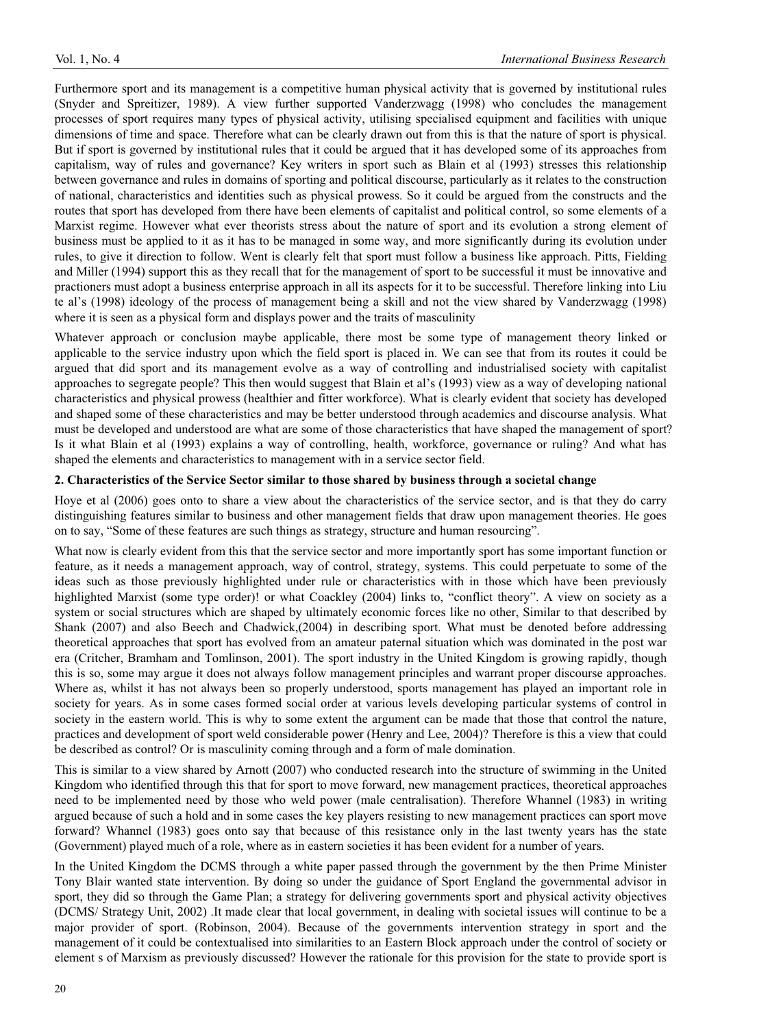Furthermore sport and its management is a competitive human physical activity that is governed by institutional rules (Snyder and Spreitizer, 1989). A view further supported Vanderzwagg (1998) who concludes the management processes of sport requires many types of physical activity, utilising specialised equipment and facilities with unique dimensions of time and space. Therefore what can be clearly drawn out from this is that the nature of sport is physical. But if sport is governed by institutional rules that it could be argued that it has developed some of its approaches from capitalism, way of rules and governance? Key writers in sport such as Blain et al (1993) stresses this relationship between governance and rules in domains of sporting and political discourse, particularly as it relates to the construction of national, characteristics and identities such as physical prowess. So it could be argued from the constructs and the routes that sport has developed from there have been elements of capitalist and political control, so some elements of a Marxist regime. However what ever theorists stress about the nature of sport and its evolution a strong element of business must be applied to it as it has to be managed in some way, and more significantly during its evolution under rules, to give it direction to follow. Went is clearly felt that sport must follow a business like approach. Pitts, Fielding and Miller (1994) support this as they recall that for the management of sport to be successful it must be innovative and practioners must adopt a business enterprise approach in all its aspects for it to be successful. Therefore linking into Liu te al's (1998) ideology of the process of management being a skill and not the view shared by Vanderzwagg (1998) where it is seen as a physical form and displays power and the traits of masculinity

Whatever approach or conclusion maybe applicable, there most be some type of management theory linked or applicable to the service industry upon which the field sport is placed in. We can see that from its routes it could be argued that did sport and its management evolve as a way of controlling and industrialised society with capitalist approaches to segregate people? This then would suggest that Blain et al's (1993) view as a way of developing national characteristics and physical prowess (healthier and fitter workforce). What is clearly evident that society has developed and shaped some of these characteristics and may be better understood through academics and discourse analysis. What must be developed and understood are what are some of those characteristics that have shaped the management of sport? Is it what Blain et al (1993) explains a way of controlling, health, workforce, governance or ruling? And what has shaped the elements and characteristics to management with in a service sector field.

## **2. Characteristics of the Service Sector similar to those shared by business through a societal change**

Hoye et al (2006) goes onto to share a view about the characteristics of the service sector, and is that they do carry distinguishing features similar to business and other management fields that draw upon management theories. He goes on to say, "Some of these features are such things as strategy, structure and human resourcing".

What now is clearly evident from this that the service sector and more importantly sport has some important function or feature, as it needs a management approach, way of control, strategy, systems. This could perpetuate to some of the ideas such as those previously highlighted under rule or characteristics with in those which have been previously highlighted Marxist (some type order)! or what Coackley (2004) links to, "conflict theory". A view on society as a system or social structures which are shaped by ultimately economic forces like no other, Similar to that described by Shank (2007) and also Beech and Chadwick,(2004) in describing sport. What must be denoted before addressing theoretical approaches that sport has evolved from an amateur paternal situation which was dominated in the post war era (Critcher, Bramham and Tomlinson, 2001). The sport industry in the United Kingdom is growing rapidly, though this is so, some may argue it does not always follow management principles and warrant proper discourse approaches. Where as, whilst it has not always been so properly understood, sports management has played an important role in society for years. As in some cases formed social order at various levels developing particular systems of control in society in the eastern world. This is why to some extent the argument can be made that those that control the nature, practices and development of sport weld considerable power (Henry and Lee, 2004)? Therefore is this a view that could be described as control? Or is masculinity coming through and a form of male domination.

This is similar to a view shared by Arnott (2007) who conducted research into the structure of swimming in the United Kingdom who identified through this that for sport to move forward, new management practices, theoretical approaches need to be implemented need by those who weld power (male centralisation). Therefore Whannel (1983) in writing argued because of such a hold and in some cases the key players resisting to new management practices can sport move forward? Whannel (1983) goes onto say that because of this resistance only in the last twenty years has the state (Government) played much of a role, where as in eastern societies it has been evident for a number of years.

In the United Kingdom the DCMS through a white paper passed through the government by the then Prime Minister Tony Blair wanted state intervention. By doing so under the guidance of Sport England the governmental advisor in sport, they did so through the Game Plan; a strategy for delivering governments sport and physical activity objectives (DCMS/ Strategy Unit, 2002) .It made clear that local government, in dealing with societal issues will continue to be a major provider of sport. (Robinson, 2004). Because of the governments intervention strategy in sport and the management of it could be contextualised into similarities to an Eastern Block approach under the control of society or element s of Marxism as previously discussed? However the rationale for this provision for the state to provide sport is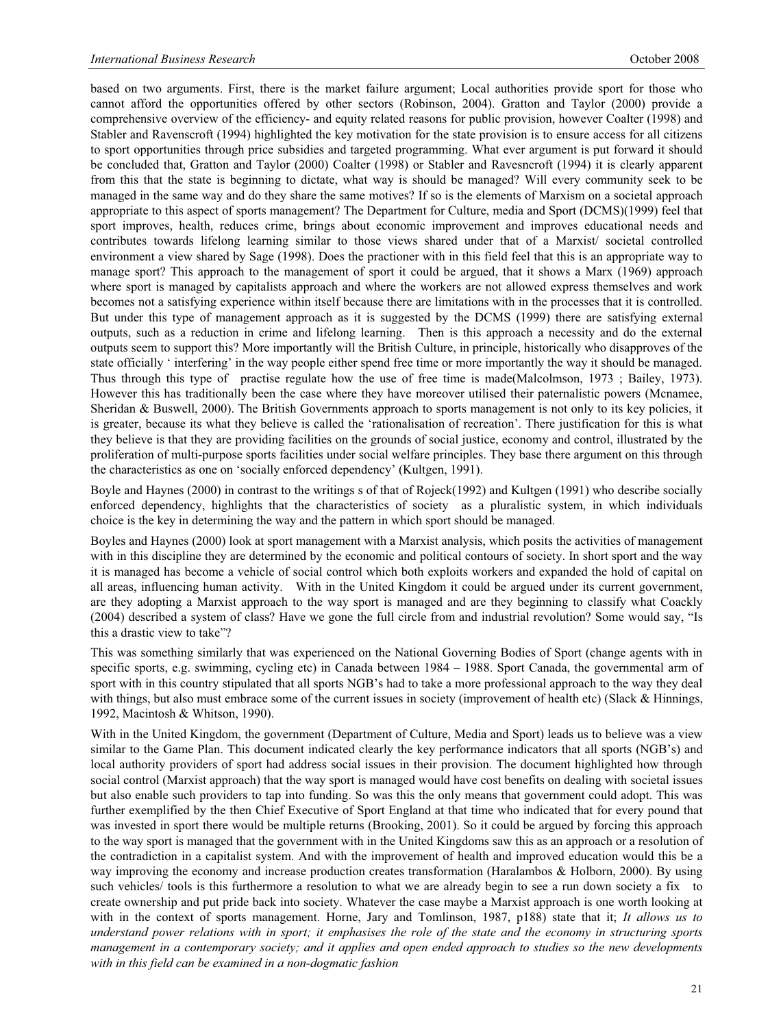based on two arguments. First, there is the market failure argument; Local authorities provide sport for those who cannot afford the opportunities offered by other sectors (Robinson, 2004). Gratton and Taylor (2000) provide a comprehensive overview of the efficiency- and equity related reasons for public provision, however Coalter (1998) and Stabler and Ravenscroft (1994) highlighted the key motivation for the state provision is to ensure access for all citizens to sport opportunities through price subsidies and targeted programming. What ever argument is put forward it should be concluded that, Gratton and Taylor (2000) Coalter (1998) or Stabler and Ravesncroft (1994) it is clearly apparent from this that the state is beginning to dictate, what way is should be managed? Will every community seek to be managed in the same way and do they share the same motives? If so is the elements of Marxism on a societal approach appropriate to this aspect of sports management? The Department for Culture, media and Sport (DCMS)(1999) feel that sport improves, health, reduces crime, brings about economic improvement and improves educational needs and contributes towards lifelong learning similar to those views shared under that of a Marxist/ societal controlled environment a view shared by Sage (1998). Does the practioner with in this field feel that this is an appropriate way to manage sport? This approach to the management of sport it could be argued, that it shows a Marx (1969) approach where sport is managed by capitalists approach and where the workers are not allowed express themselves and work becomes not a satisfying experience within itself because there are limitations with in the processes that it is controlled. But under this type of management approach as it is suggested by the DCMS (1999) there are satisfying external outputs, such as a reduction in crime and lifelong learning. Then is this approach a necessity and do the external outputs seem to support this? More importantly will the British Culture, in principle, historically who disapproves of the state officially ' interfering' in the way people either spend free time or more importantly the way it should be managed. Thus through this type of practise regulate how the use of free time is made(Malcolmson, 1973 ; Bailey, 1973). However this has traditionally been the case where they have moreover utilised their paternalistic powers (Mcnamee, Sheridan & Buswell, 2000). The British Governments approach to sports management is not only to its key policies, it is greater, because its what they believe is called the 'rationalisation of recreation'. There justification for this is what they believe is that they are providing facilities on the grounds of social justice, economy and control, illustrated by the proliferation of multi-purpose sports facilities under social welfare principles. They base there argument on this through the characteristics as one on 'socially enforced dependency' (Kultgen, 1991).

Boyle and Haynes (2000) in contrast to the writings s of that of Rojeck(1992) and Kultgen (1991) who describe socially enforced dependency, highlights that the characteristics of society as a pluralistic system, in which individuals choice is the key in determining the way and the pattern in which sport should be managed.

Boyles and Haynes (2000) look at sport management with a Marxist analysis, which posits the activities of management with in this discipline they are determined by the economic and political contours of society. In short sport and the way it is managed has become a vehicle of social control which both exploits workers and expanded the hold of capital on all areas, influencing human activity. With in the United Kingdom it could be argued under its current government, are they adopting a Marxist approach to the way sport is managed and are they beginning to classify what Coackly (2004) described a system of class? Have we gone the full circle from and industrial revolution? Some would say, "Is this a drastic view to take"?

This was something similarly that was experienced on the National Governing Bodies of Sport (change agents with in specific sports, e.g. swimming, cycling etc) in Canada between 1984 – 1988. Sport Canada, the governmental arm of sport with in this country stipulated that all sports NGB's had to take a more professional approach to the way they deal with things, but also must embrace some of the current issues in society (improvement of health etc) (Slack & Hinnings, 1992, Macintosh & Whitson, 1990).

With in the United Kingdom, the government (Department of Culture, Media and Sport) leads us to believe was a view similar to the Game Plan. This document indicated clearly the key performance indicators that all sports (NGB's) and local authority providers of sport had address social issues in their provision. The document highlighted how through social control (Marxist approach) that the way sport is managed would have cost benefits on dealing with societal issues but also enable such providers to tap into funding. So was this the only means that government could adopt. This was further exemplified by the then Chief Executive of Sport England at that time who indicated that for every pound that was invested in sport there would be multiple returns (Brooking, 2001). So it could be argued by forcing this approach to the way sport is managed that the government with in the United Kingdoms saw this as an approach or a resolution of the contradiction in a capitalist system. And with the improvement of health and improved education would this be a way improving the economy and increase production creates transformation (Haralambos & Holborn, 2000). By using such vehicles/ tools is this furthermore a resolution to what we are already begin to see a run down society a fix to create ownership and put pride back into society. Whatever the case maybe a Marxist approach is one worth looking at with in the context of sports management. Horne, Jary and Tomlinson, 1987, p188) state that it; *It allows us to understand power relations with in sport; it emphasises the role of the state and the economy in structuring sports management in a contemporary society; and it applies and open ended approach to studies so the new developments with in this field can be examined in a non-dogmatic fashion*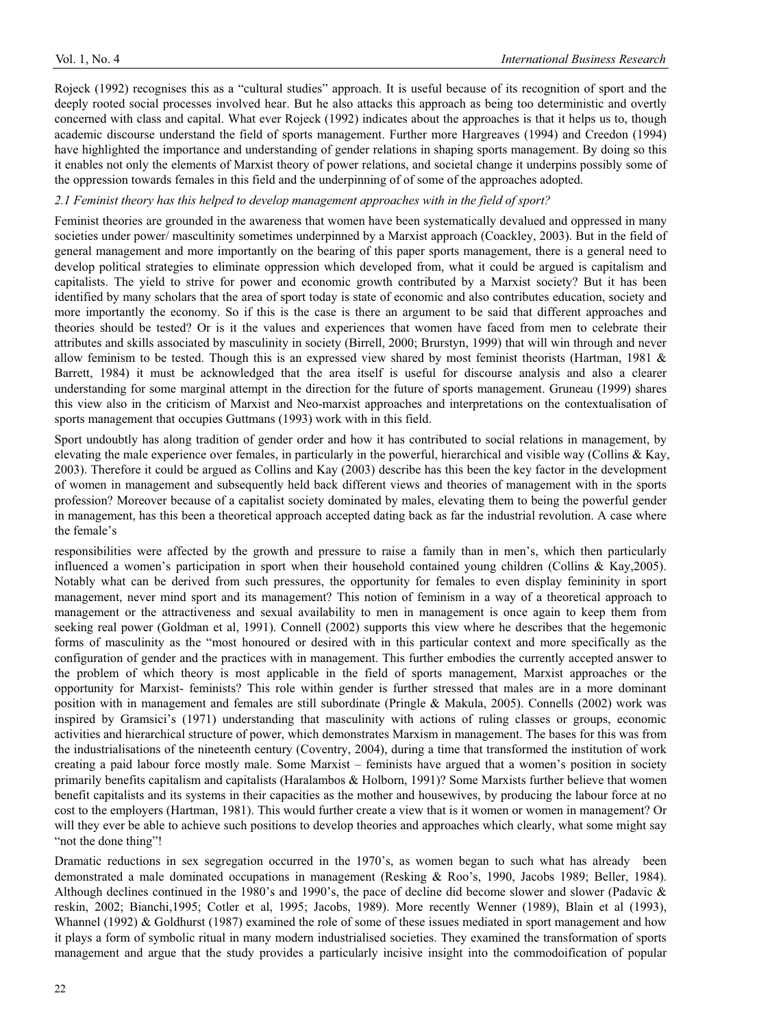Rojeck (1992) recognises this as a "cultural studies" approach. It is useful because of its recognition of sport and the deeply rooted social processes involved hear. But he also attacks this approach as being too deterministic and overtly concerned with class and capital. What ever Rojeck (1992) indicates about the approaches is that it helps us to, though academic discourse understand the field of sports management. Further more Hargreaves (1994) and Creedon (1994) have highlighted the importance and understanding of gender relations in shaping sports management. By doing so this it enables not only the elements of Marxist theory of power relations, and societal change it underpins possibly some of the oppression towards females in this field and the underpinning of of some of the approaches adopted.

## *2.1 Feminist theory has this helped to develop management approaches with in the field of sport?*

Feminist theories are grounded in the awareness that women have been systematically devalued and oppressed in many societies under power/ mascultinity sometimes underpinned by a Marxist approach (Coackley, 2003). But in the field of general management and more importantly on the bearing of this paper sports management, there is a general need to develop political strategies to eliminate oppression which developed from, what it could be argued is capitalism and capitalists. The yield to strive for power and economic growth contributed by a Marxist society? But it has been identified by many scholars that the area of sport today is state of economic and also contributes education, society and more importantly the economy. So if this is the case is there an argument to be said that different approaches and theories should be tested? Or is it the values and experiences that women have faced from men to celebrate their attributes and skills associated by masculinity in society (Birrell, 2000; Brurstyn, 1999) that will win through and never allow feminism to be tested. Though this is an expressed view shared by most feminist theorists (Hartman, 1981 & Barrett, 1984) it must be acknowledged that the area itself is useful for discourse analysis and also a clearer understanding for some marginal attempt in the direction for the future of sports management. Gruneau (1999) shares this view also in the criticism of Marxist and Neo-marxist approaches and interpretations on the contextualisation of sports management that occupies Guttmans (1993) work with in this field.

Sport undoubtly has along tradition of gender order and how it has contributed to social relations in management, by elevating the male experience over females, in particularly in the powerful, hierarchical and visible way (Collins & Kay, 2003). Therefore it could be argued as Collins and Kay (2003) describe has this been the key factor in the development of women in management and subsequently held back different views and theories of management with in the sports profession? Moreover because of a capitalist society dominated by males, elevating them to being the powerful gender in management, has this been a theoretical approach accepted dating back as far the industrial revolution. A case where the female's

responsibilities were affected by the growth and pressure to raise a family than in men's, which then particularly influenced a women's participation in sport when their household contained young children (Collins & Kay,2005). Notably what can be derived from such pressures, the opportunity for females to even display femininity in sport management, never mind sport and its management? This notion of feminism in a way of a theoretical approach to management or the attractiveness and sexual availability to men in management is once again to keep them from seeking real power (Goldman et al, 1991). Connell (2002) supports this view where he describes that the hegemonic forms of masculinity as the "most honoured or desired with in this particular context and more specifically as the configuration of gender and the practices with in management. This further embodies the currently accepted answer to the problem of which theory is most applicable in the field of sports management, Marxist approaches or the opportunity for Marxist- feminists? This role within gender is further stressed that males are in a more dominant position with in management and females are still subordinate (Pringle & Makula, 2005). Connells (2002) work was inspired by Gramsici's (1971) understanding that masculinity with actions of ruling classes or groups, economic activities and hierarchical structure of power, which demonstrates Marxism in management. The bases for this was from the industrialisations of the nineteenth century (Coventry, 2004), during a time that transformed the institution of work creating a paid labour force mostly male. Some Marxist – feminists have argued that a women's position in society primarily benefits capitalism and capitalists (Haralambos & Holborn, 1991)? Some Marxists further believe that women benefit capitalists and its systems in their capacities as the mother and housewives, by producing the labour force at no cost to the employers (Hartman, 1981). This would further create a view that is it women or women in management? Or will they ever be able to achieve such positions to develop theories and approaches which clearly, what some might say "not the done thing"!

Dramatic reductions in sex segregation occurred in the 1970's, as women began to such what has already been demonstrated a male dominated occupations in management (Resking & Roo's, 1990, Jacobs 1989; Beller, 1984). Although declines continued in the 1980's and 1990's, the pace of decline did become slower and slower (Padavic & reskin, 2002; Bianchi,1995; Cotler et al, 1995; Jacobs, 1989). More recently Wenner (1989), Blain et al (1993), Whannel (1992) & Goldhurst (1987) examined the role of some of these issues mediated in sport management and how it plays a form of symbolic ritual in many modern industrialised societies. They examined the transformation of sports management and argue that the study provides a particularly incisive insight into the commodoification of popular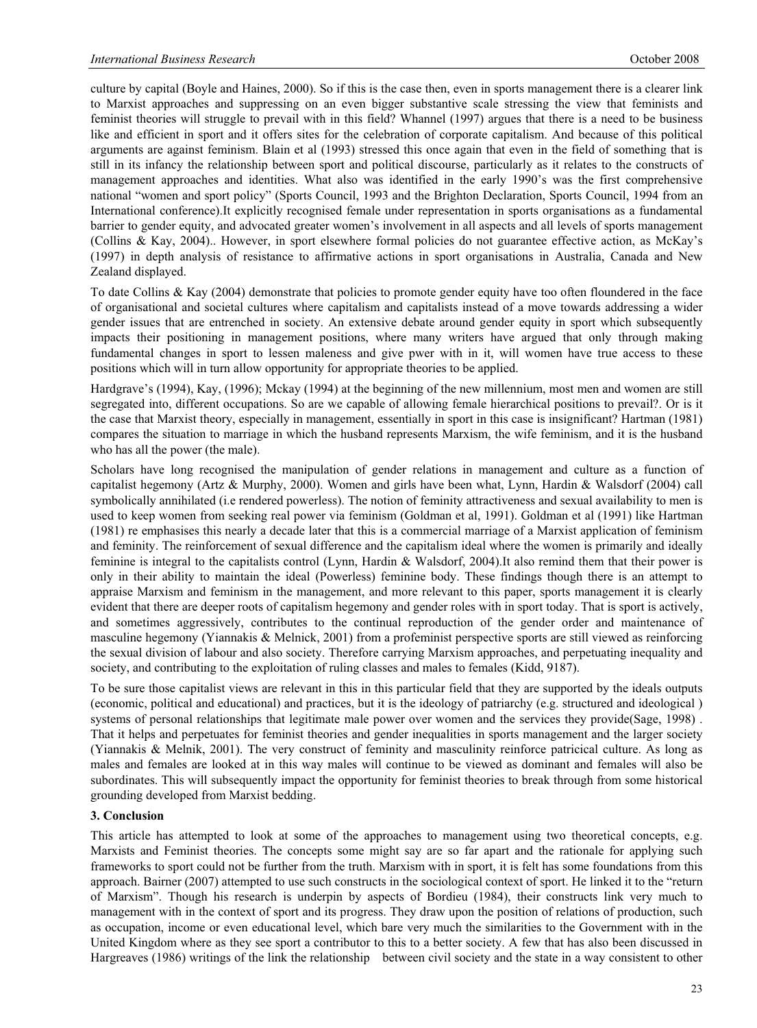culture by capital (Boyle and Haines, 2000). So if this is the case then, even in sports management there is a clearer link to Marxist approaches and suppressing on an even bigger substantive scale stressing the view that feminists and feminist theories will struggle to prevail with in this field? Whannel (1997) argues that there is a need to be business like and efficient in sport and it offers sites for the celebration of corporate capitalism. And because of this political arguments are against feminism. Blain et al (1993) stressed this once again that even in the field of something that is still in its infancy the relationship between sport and political discourse, particularly as it relates to the constructs of management approaches and identities. What also was identified in the early 1990's was the first comprehensive national "women and sport policy" (Sports Council, 1993 and the Brighton Declaration, Sports Council, 1994 from an International conference).It explicitly recognised female under representation in sports organisations as a fundamental barrier to gender equity, and advocated greater women's involvement in all aspects and all levels of sports management (Collins & Kay, 2004).. However, in sport elsewhere formal policies do not guarantee effective action, as McKay's (1997) in depth analysis of resistance to affirmative actions in sport organisations in Australia, Canada and New Zealand displayed.

To date Collins & Kay (2004) demonstrate that policies to promote gender equity have too often floundered in the face of organisational and societal cultures where capitalism and capitalists instead of a move towards addressing a wider gender issues that are entrenched in society. An extensive debate around gender equity in sport which subsequently impacts their positioning in management positions, where many writers have argued that only through making fundamental changes in sport to lessen maleness and give pwer with in it, will women have true access to these positions which will in turn allow opportunity for appropriate theories to be applied.

Hardgrave's (1994), Kay, (1996); Mckay (1994) at the beginning of the new millennium, most men and women are still segregated into, different occupations. So are we capable of allowing female hierarchical positions to prevail?. Or is it the case that Marxist theory, especially in management, essentially in sport in this case is insignificant? Hartman (1981) compares the situation to marriage in which the husband represents Marxism, the wife feminism, and it is the husband who has all the power (the male).

Scholars have long recognised the manipulation of gender relations in management and culture as a function of capitalist hegemony (Artz & Murphy, 2000). Women and girls have been what, Lynn, Hardin & Walsdorf (2004) call symbolically annihilated (i.e rendered powerless). The notion of feminity attractiveness and sexual availability to men is used to keep women from seeking real power via feminism (Goldman et al, 1991). Goldman et al (1991) like Hartman (1981) re emphasises this nearly a decade later that this is a commercial marriage of a Marxist application of feminism and feminity. The reinforcement of sexual difference and the capitalism ideal where the women is primarily and ideally feminine is integral to the capitalists control (Lynn, Hardin & Walsdorf, 2004).It also remind them that their power is only in their ability to maintain the ideal (Powerless) feminine body. These findings though there is an attempt to appraise Marxism and feminism in the management, and more relevant to this paper, sports management it is clearly evident that there are deeper roots of capitalism hegemony and gender roles with in sport today. That is sport is actively, and sometimes aggressively, contributes to the continual reproduction of the gender order and maintenance of masculine hegemony (Yiannakis & Melnick, 2001) from a profeminist perspective sports are still viewed as reinforcing the sexual division of labour and also society. Therefore carrying Marxism approaches, and perpetuating inequality and society, and contributing to the exploitation of ruling classes and males to females (Kidd, 9187).

To be sure those capitalist views are relevant in this in this particular field that they are supported by the ideals outputs (economic, political and educational) and practices, but it is the ideology of patriarchy (e.g. structured and ideological ) systems of personal relationships that legitimate male power over women and the services they provide(Sage, 1998) . That it helps and perpetuates for feminist theories and gender inequalities in sports management and the larger society (Yiannakis & Melnik, 2001). The very construct of feminity and masculinity reinforce patricical culture. As long as males and females are looked at in this way males will continue to be viewed as dominant and females will also be subordinates. This will subsequently impact the opportunity for feminist theories to break through from some historical grounding developed from Marxist bedding.

## **3. Conclusion**

This article has attempted to look at some of the approaches to management using two theoretical concepts, e.g. Marxists and Feminist theories. The concepts some might say are so far apart and the rationale for applying such frameworks to sport could not be further from the truth. Marxism with in sport, it is felt has some foundations from this approach. Bairner (2007) attempted to use such constructs in the sociological context of sport. He linked it to the "return of Marxism". Though his research is underpin by aspects of Bordieu (1984), their constructs link very much to management with in the context of sport and its progress. They draw upon the position of relations of production, such as occupation, income or even educational level, which bare very much the similarities to the Government with in the United Kingdom where as they see sport a contributor to this to a better society. A few that has also been discussed in Hargreaves (1986) writings of the link the relationship between civil society and the state in a way consistent to other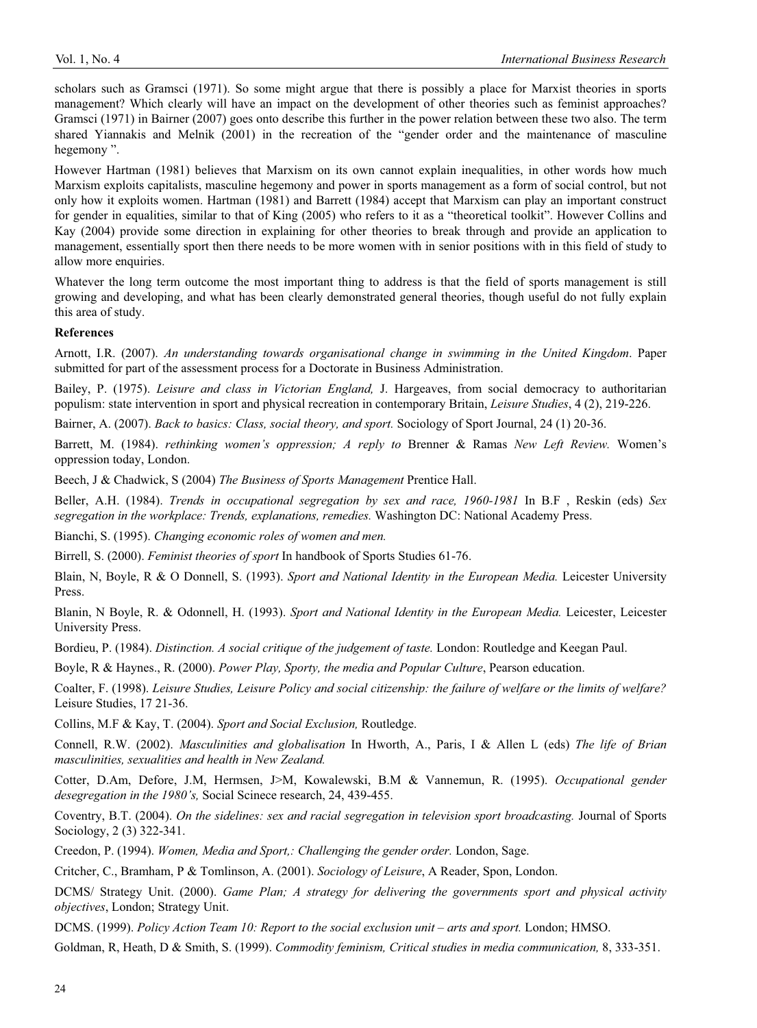scholars such as Gramsci (1971). So some might argue that there is possibly a place for Marxist theories in sports management? Which clearly will have an impact on the development of other theories such as feminist approaches? Gramsci (1971) in Bairner (2007) goes onto describe this further in the power relation between these two also. The term shared Yiannakis and Melnik (2001) in the recreation of the "gender order and the maintenance of masculine hegemony ".

However Hartman (1981) believes that Marxism on its own cannot explain inequalities, in other words how much Marxism exploits capitalists, masculine hegemony and power in sports management as a form of social control, but not only how it exploits women. Hartman (1981) and Barrett (1984) accept that Marxism can play an important construct for gender in equalities, similar to that of King (2005) who refers to it as a "theoretical toolkit". However Collins and Kay (2004) provide some direction in explaining for other theories to break through and provide an application to management, essentially sport then there needs to be more women with in senior positions with in this field of study to allow more enquiries.

Whatever the long term outcome the most important thing to address is that the field of sports management is still growing and developing, and what has been clearly demonstrated general theories, though useful do not fully explain this area of study.

## **References**

Arnott, I.R. (2007). *An understanding towards organisational change in swimming in the United Kingdom*. Paper submitted for part of the assessment process for a Doctorate in Business Administration.

Bailey, P. (1975). *Leisure and class in Victorian England,* J. Hargeaves, from social democracy to authoritarian populism: state intervention in sport and physical recreation in contemporary Britain, *Leisure Studies*, 4 (2), 219-226.

Bairner, A. (2007). *Back to basics: Class, social theory, and sport.* Sociology of Sport Journal, 24 (1) 20-36.

Barrett, M. (1984). *rethinking women's oppression; A reply to* Brenner & Ramas *New Left Review.* Women's oppression today, London.

Beech, J & Chadwick, S (2004) *The Business of Sports Management* Prentice Hall.

Beller, A.H. (1984). *Trends in occupational segregation by sex and race, 1960-1981* In B.F , Reskin (eds) *Sex segregation in the workplace: Trends, explanations, remedies.* Washington DC: National Academy Press.

Bianchi, S. (1995). *Changing economic roles of women and men.* 

Birrell, S. (2000). *Feminist theories of sport* In handbook of Sports Studies 61-76.

Blain, N, Boyle, R & O Donnell, S. (1993). *Sport and National Identity in the European Media.* Leicester University Press.

Blanin, N Boyle, R. & Odonnell, H. (1993). *Sport and National Identity in the European Media.* Leicester, Leicester University Press.

Bordieu, P. (1984). *Distinction. A social critique of the judgement of taste.* London: Routledge and Keegan Paul.

Boyle, R & Haynes., R. (2000). *Power Play, Sporty, the media and Popular Culture*, Pearson education.

Coalter, F. (1998). *Leisure Studies, Leisure Policy and social citizenship: the failure of welfare or the limits of welfare?*  Leisure Studies, 17 21-36.

Collins, M.F & Kay, T. (2004). *Sport and Social Exclusion,* Routledge.

Connell, R.W. (2002). *Masculinities and globalisation* In Hworth, A., Paris, I & Allen L (eds) *The life of Brian masculinities, sexualities and health in New Zealand.* 

Cotter, D.Am, Defore, J.M, Hermsen, J>M, Kowalewski, B.M & Vannemun, R. (1995). *Occupational gender desegregation in the 1980's,* Social Scinece research, 24, 439-455.

Coventry, B.T. (2004). *On the sidelines: sex and racial segregation in television sport broadcasting.* Journal of Sports Sociology, 2 (3) 322-341.

Creedon, P. (1994). *Women, Media and Sport,: Challenging the gender order.* London, Sage.

Critcher, C., Bramham, P & Tomlinson, A. (2001). *Sociology of Leisure*, A Reader, Spon, London.

DCMS/ Strategy Unit. (2000). *Game Plan; A strategy for delivering the governments sport and physical activity objectives*, London; Strategy Unit.

DCMS. (1999). *Policy Action Team 10: Report to the social exclusion unit – arts and sport.* London; HMSO.

Goldman, R, Heath, D & Smith, S. (1999). *Commodity feminism, Critical studies in media communication,* 8, 333-351.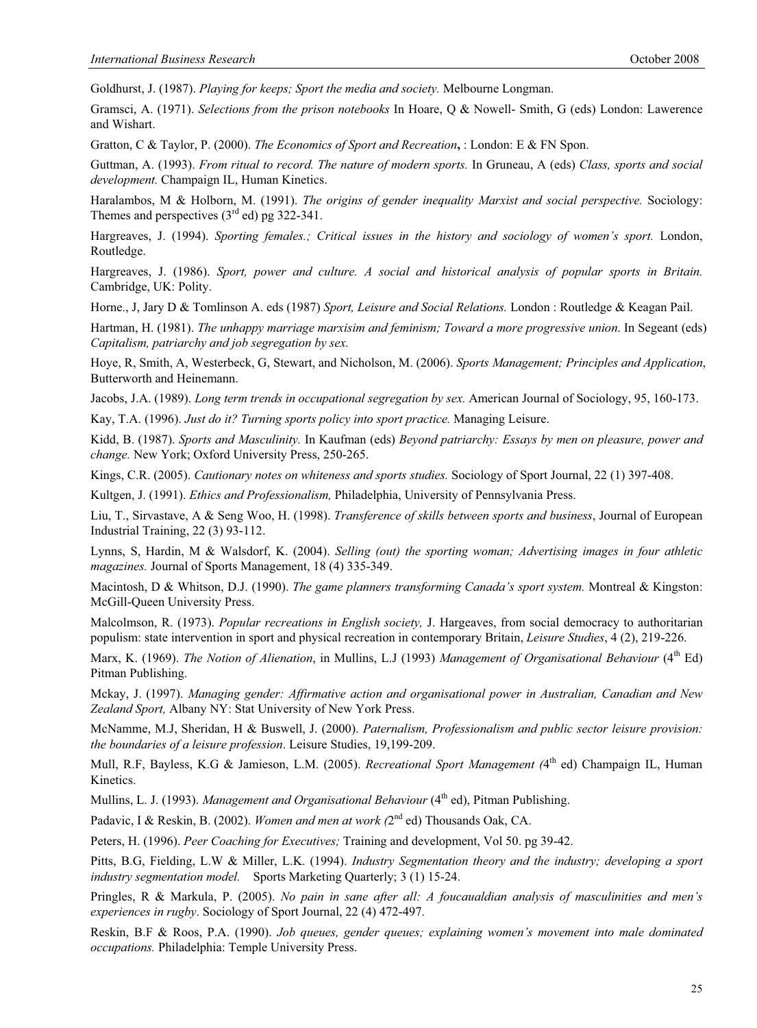Goldhurst, J. (1987). *Playing for keeps; Sport the media and society.* Melbourne Longman.

Gramsci, A. (1971). *Selections from the prison notebooks* In Hoare, Q & Nowell- Smith, G (eds) London: Lawerence and Wishart.

Gratton, C & Taylor, P. (2000). *The Economics of Sport and Recreation***,** : London: E & FN Spon.

Guttman, A. (1993). *From ritual to record. The nature of modern sports.* In Gruneau, A (eds) *Class, sports and social development.* Champaign IL, Human Kinetics.

Haralambos, M & Holborn, M. (1991). *The origins of gender inequality Marxist and social perspective.* Sociology: Themes and perspectives  $(3<sup>rd</sup>$  ed) pg 322-341.

Hargreaves, J. (1994). *Sporting females.; Critical issues in the history and sociology of women's sport.* London, Routledge.

Hargreaves, J. (1986). *Sport, power and culture. A social and historical analysis of popular sports in Britain.*  Cambridge, UK: Polity.

Horne., J, Jary D & Tomlinson A. eds (1987) *Sport, Leisure and Social Relations.* London : Routledge & Keagan Pail.

Hartman, H. (1981). *The unhappy marriage marxisim and feminism; Toward a more progressive union*. In Segeant (eds) *Capitalism, patriarchy and job segregation by sex.*

Hoye, R, Smith, A, Westerbeck, G, Stewart, and Nicholson, M. (2006). *Sports Management; Principles and Application*, Butterworth and Heinemann.

Jacobs, J.A. (1989). *Long term trends in occupational segregation by sex.* American Journal of Sociology, 95, 160-173.

Kay, T.A. (1996). *Just do it? Turning sports policy into sport practice.* Managing Leisure.

Kidd, B. (1987). *Sports and Masculinity.* In Kaufman (eds) *Beyond patriarchy: Essays by men on pleasure, power and change.* New York; Oxford University Press, 250-265.

Kings, C.R. (2005). *Cautionary notes on whiteness and sports studies.* Sociology of Sport Journal, 22 (1) 397-408.

Kultgen, J. (1991). *Ethics and Professionalism,* Philadelphia, University of Pennsylvania Press.

Liu, T., Sirvastave, A & Seng Woo, H. (1998). *Transference of skills between sports and business*, Journal of European Industrial Training, 22 (3) 93-112.

Lynns, S, Hardin, M & Walsdorf, K. (2004). *Selling (out) the sporting woman; Advertising images in four athletic magazines.* Journal of Sports Management, 18 (4) 335-349.

Macintosh, D & Whitson, D.J. (1990). *The game planners transforming Canada's sport system.* Montreal & Kingston: McGill-Queen University Press.

Malcolmson, R. (1973). *Popular recreations in English society,* J. Hargeaves, from social democracy to authoritarian populism: state intervention in sport and physical recreation in contemporary Britain, *Leisure Studies*, 4 (2), 219-226.

Marx, K. (1969). *The Notion of Alienation*, in Mullins, L.J (1993) *Management of Organisational Behaviour* (4<sup>th</sup> Ed) Pitman Publishing.

Mckay, J. (1997). *Managing gender: Affirmative action and organisational power in Australian, Canadian and New Zealand Sport,* Albany NY: Stat University of New York Press.

McNamme, M.J, Sheridan, H & Buswell, J. (2000). *Paternalism, Professionalism and public sector leisure provision: the boundaries of a leisure profession*. Leisure Studies, 19,199-209.

Mull, R.F, Bayless, K.G & Jamieson, L.M. (2005). *Recreational Sport Management (*4th ed) Champaign IL, Human Kinetics.

Mullins, L. J. (1993). *Management and Organisational Behaviour* (4<sup>th</sup> ed), Pitman Publishing.

Padavic, I & Reskin, B. (2002). *Women and men at work (2<sup>nd</sup> ed)* Thousands Oak, CA.

Peters, H. (1996). *Peer Coaching for Executives;* Training and development, Vol 50. pg 39-42.

Pitts, B.G, Fielding, L.W & Miller, L.K. (1994). *Industry Segmentation theory and the industry; developing a sport industry segmentation model.* Sports Marketing Quarterly; 3 (1) 15-24.

Pringles, R & Markula, P. (2005). *No pain in sane after all: A foucaualdian analysis of masculinities and men's experiences in rugby*. Sociology of Sport Journal, 22 (4) 472-497.

Reskin, B.F & Roos, P.A. (1990). *Job queues, gender queues; explaining women's movement into male dominated occupations.* Philadelphia: Temple University Press.